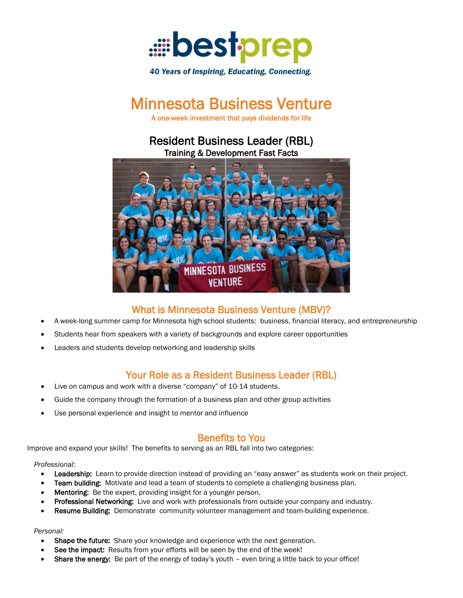

40 Years of Inspiring, Educating, Connecting.

## Minnesota Business Venture

A one-week investment that pays dividends for life

### Resident Business Leader (RBL) Training & Development Fast Facts



### What is Minnesota Business Venture (MBV)?

- A week-long summer camp for Minnesota high school students: business, financial literacy, and entrepreneurship
- Students hear from speakers with a variety of backgrounds and explore career opportunities
- Leaders and students develop networking and leadership skills

### Your Role as a Resident Business Leader (RBL)

- Live on campus and work with a diverse "company" of 10-14 students.
- Guide the company through the formation of a business plan and other group activities
- Use personal experience and insight to mentor and influence

### Benefits to You

Improve and expand your skills! The benefits to serving as an RBL fall into two categories:

#### *Professional:*

- Leadership: Learn to provide direction instead of providing an "easy answer" as students work on their project.
- Team building: Motivate and lead a team of students to complete a challenging business plan.
- Mentoring: Be the expert, providing insight for a younger person.
- Professional Networking: Live and work with professionals from outside your company and industry.
- Resume Building: Demonstrate community volunteer management and team-building experience.

#### *Personal:*

- Shape the future: Share your knowledge and experience with the next generation.
- See the impact: Results from your efforts will be seen by the end of the week!
- Share the energy: Be part of the energy of today's youth even bring a little back to your office!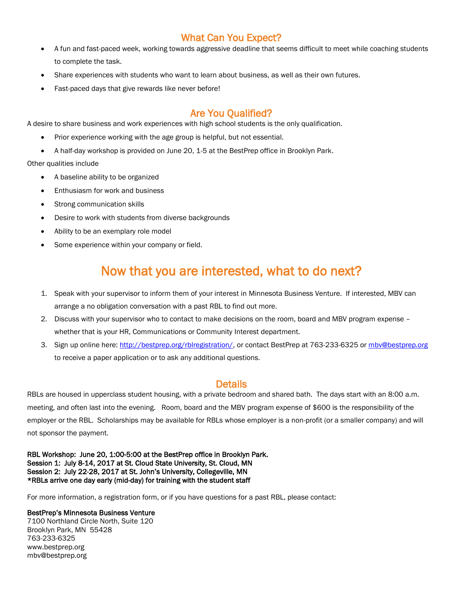### What Can You Expect?

- A fun and fast-paced week, working towards aggressive deadline that seems difficult to meet while coaching students to complete the task.
- Share experiences with students who want to learn about business, as well as their own futures.
- Fast-paced days that give rewards like never before!

### Are You Qualified?

A desire to share business and work experiences with high school students is the only qualification.

- Prior experience working with the age group is helpful, but not essential.
- A half-day workshop is provided on June 20, 1-5 at the BestPrep office in Brooklyn Park.

Other qualities include

- A baseline ability to be organized
- Enthusiasm for work and business
- Strong communication skills
- Desire to work with students from diverse backgrounds
- Ability to be an exemplary role model
- Some experience within your company or field.

## Now that you are interested, what to do next?

- 1. Speak with your supervisor to inform them of your interest in Minnesota Business Venture. If interested, MBV can arrange a no obligation conversation with a past RBL to find out more.
- 2. Discuss with your supervisor who to contact to make decisions on the room, board and MBV program expense whether that is your HR, Communications or Community Interest department.
- 3. Sign up online here: [http://bestprep.org/rblregistration/,](http://bestprep.org/rblregistration/) or contact BestPrep at 763-233-6325 or [mbv@bestprep.org](mailto:mbv@bestprep.org) to receive a paper application or to ask any additional questions.

#### Details

RBLs are housed in upperclass student housing, with a private bedroom and shared bath. The days start with an 8:00 a.m. meeting, and often last into the evening. Room, board and the MBV program expense of \$600 is the responsibility of the employer or the RBL. Scholarships may be available for RBLs whose employer is a non-profit (or a smaller company) and will not sponsor the payment.

#### RBL Workshop: June 20, 1:00-5:00 at the BestPrep office in Brooklyn Park. Session 1: July 8-14, 2017 at St. Cloud State University, St. Cloud, MN Session 2: July 22-28, 2017 at St. John's University, Collegeville, MN \*RBLs arrive one day early (mid-day) for training with the student staff

For more information, a registration form, or if you have questions for a past RBL, please contact:

#### BestPrep's Minnesota Business Venture

7100 Northland Circle North, Suite 120 Brooklyn Park, MN 55428 763-233-6325 www.bestprep.org mbv@bestprep.org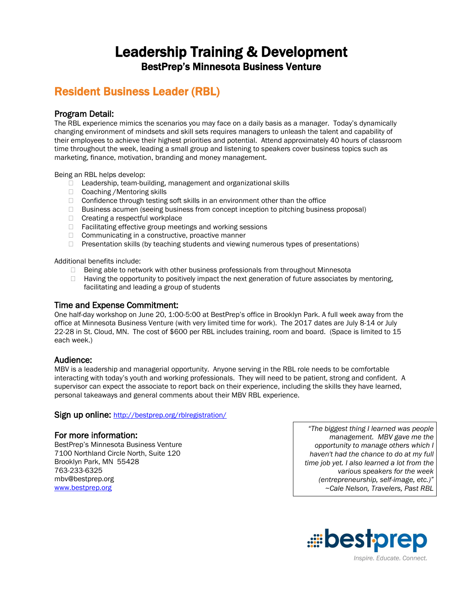## Leadership Training & Development BestPrep's Minnesota Business Venture

## Resident Business Leader (RBL)

#### Program Detail:

The RBL experience mimics the scenarios you may face on a daily basis as a manager. Today's dynamically changing environment of mindsets and skill sets requires managers to unleash the talent and capability of their employees to achieve their highest priorities and potential. Attend approximately 40 hours of classroom time throughout the week, leading a small group and listening to speakers cover business topics such as marketing, finance, motivation, branding and money management.

Being an RBL helps develop:

- □ Leadership, team-building, management and organizational skills
- □ Coaching / Mentoring skills
- $\Box$  Confidence through testing soft skills in an environment other than the office
- $\Box$  Business acumen (seeing business from concept inception to pitching business proposal)
- □ Creating a respectful workplace
- Facilitating effective group meetings and working sessions
- $\Box$  Communicating in a constructive, proactive manner
- $\Box$  Presentation skills (by teaching students and viewing numerous types of presentations)

Additional benefits include:

- □ Being able to network with other business professionals from throughout Minnesota
- $\Box$  Having the opportunity to positively impact the next generation of future associates by mentoring, facilitating and leading a group of students

#### Time and Expense Commitment:

One half-day workshop on June 20, 1:00-5:00 at BestPrep's office in Brooklyn Park. A full week away from the office at Minnesota Business Venture (with very limited time for work). The 2017 dates are July 8-14 or July 22-28 in St. Cloud, MN. The cost of \$600 per RBL includes training, room and board. (Space is limited to 15 each week.)

#### Audience:

MBV is a leadership and managerial opportunity. Anyone serving in the RBL role needs to be comfortable interacting with today's youth and working professionals. They will need to be patient, strong and confident. A supervisor can expect the associate to report back on their experience, including the skills they have learned, personal takeaways and general comments about their MBV RBL experience.

Sign up online: <http://bestprep.org/rblregistration/>

#### For more information:

BestPrep's Minnesota Business Venture 7100 Northland Circle North, Suite 120 Brooklyn Park, MN 55428 763-233-6325 mbv@bestprep.org [www.bestprep.org](http://www.bestprep.org/)

*"The biggest thing I learned was people management. MBV gave me the opportunity to manage others which I haven't had the chance to do at my full time job yet. I also learned a lot from the various speakers for the week (entrepreneurship, self-image, etc.)" ~Cale Nelson, Travelers, Past RBL*

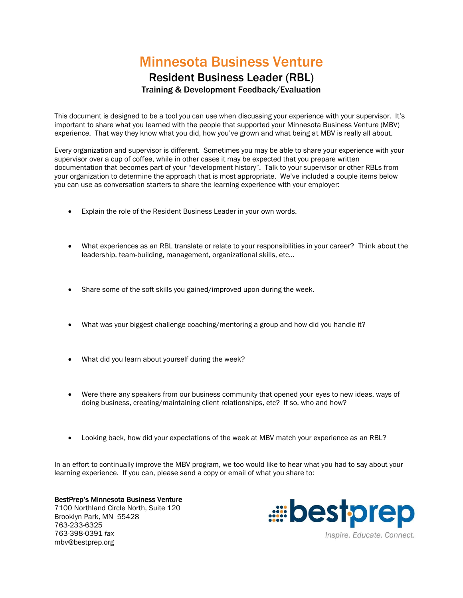## Minnesota Business Venture

## Resident Business Leader (RBL)

Training & Development Feedback/Evaluation

This document is designed to be a tool you can use when discussing your experience with your supervisor. It's important to share what you learned with the people that supported your Minnesota Business Venture (MBV) experience. That way they know what you did, how you've grown and what being at MBV is really all about.

Every organization and supervisor is different. Sometimes you may be able to share your experience with your supervisor over a cup of coffee, while in other cases it may be expected that you prepare written documentation that becomes part of your "development history". Talk to your supervisor or other RBLs from your organization to determine the approach that is most appropriate. We've included a couple items below you can use as conversation starters to share the learning experience with your employer:

- Explain the role of the Resident Business Leader in your own words.
- What experiences as an RBL translate or relate to your responsibilities in your career? Think about the leadership, team-building, management, organizational skills, etc…
- Share some of the soft skills you gained/improved upon during the week.
- What was your biggest challenge coaching/mentoring a group and how did you handle it?
- What did you learn about yourself during the week?
- Were there any speakers from our business community that opened your eyes to new ideas, ways of doing business, creating/maintaining client relationships, etc? If so, who and how?
- Looking back, how did your expectations of the week at MBV match your experience as an RBL?

In an effort to continually improve the MBV program, we too would like to hear what you had to say about your learning experience. If you can, please send a copy or email of what you share to:

BestPrep's Minnesota Business Venture 7100 Northland Circle North, Suite 120 Brooklyn Park, MN 55428 763-233-6325 763-398-0391 *fax* mbv@bestprep.org